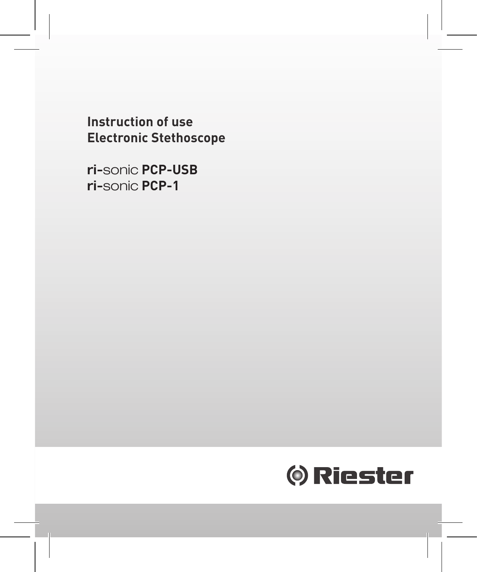**Instruction of use Electronic Stethoscope**

ri-sonic **PCP-USB** ri-sonic **PCP-1**

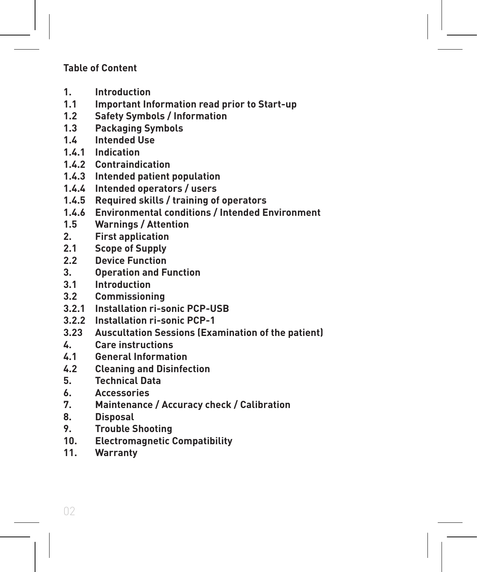#### **Table of Content**

- **1. Introduction**
- **1.1 Important Information read prior to Start-up**
- **1.2 Safety Symbols / Information**
- **1.3 Packaging Symbols**
- **1.4 Intended Use**
- **1.4.1 Indication**
- **1.4.2 Contraindication**
- **1.4.3 Intended patient population**
- **1.4.4 Intended operators / users**
- **1.4.5 Required skills / training of operators**
- **1.4.6 Environmental conditions / Intended Environment**
- **1.5 Warnings / Attention**
- **2. First application**
- **2.1 Scope of Supply**
- **2.2 Device Function**
- **3. Operation and Function**
- **3.1 Introduction**
- **3.2 Commissioning**
- **3.2.1 Installation ri-sonic PCP-USB**
- **3.2.2 Installation ri-sonic PCP-1**
- **3.23 Auscultation Sessions (Examination of the patient)**
- **4. Care instructions**
- **4.1 General Information**
- **4.2 Cleaning and Disinfection**
- **5. Technical Data**
- **6. Accessories**
- **7. Maintenance / Accuracy check / Calibration**
- **8. Disposal**
- **9. Trouble Shooting**
- **10. Electromagnetic Compatibility**
- **11. Warranty**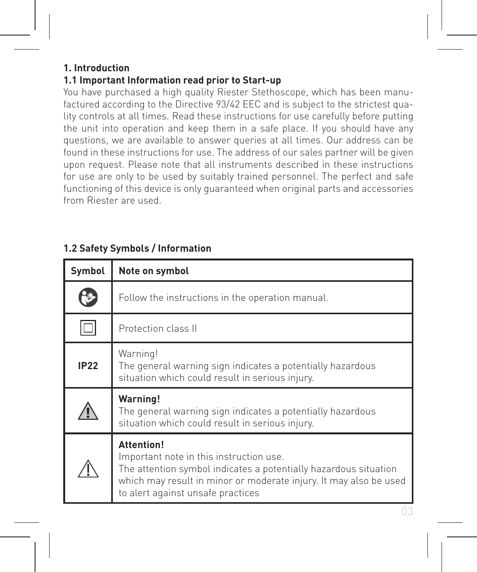#### **1. Introduction**

#### **1.1 Important Information read prior to Start-up**

You have purchased a high quality Riester Stethoscope, which has been manufactured according to the Directive 93/42 EEC and is subject to the strictest quality controls at all times. Read these instructions for use carefully before putting the unit into operation and keep them in a safe place. If you should have any questions, we are available to answer queries at all times. Our address can be found in these instructions for use. The address of our sales partner will be given upon request. Please note that all instruments described in these instructions for use are only to be used by suitably trained personnel. The perfect and safe functioning of this device is only guaranteed when original parts and accessories from Riester are used.

| Symbol      | Note on symbol                                                                                                                                                                                                                             |
|-------------|--------------------------------------------------------------------------------------------------------------------------------------------------------------------------------------------------------------------------------------------|
| ۴           | Follow the instructions in the operation manual.                                                                                                                                                                                           |
|             | Protection class II                                                                                                                                                                                                                        |
| <b>IP22</b> | Warning!<br>The general warning sign indicates a potentially hazardous<br>situation which could result in serious injury.                                                                                                                  |
|             | <b>Warning!</b><br>The general warning sign indicates a potentially hazardous<br>situation which could result in serious injury.                                                                                                           |
|             | <b>Attention!</b><br>Important note in this instruction use.<br>The attention symbol indicates a potentially hazardous situation<br>which may result in minor or moderate injury. It may also be used<br>to alert against unsafe practices |

#### **1.2 Safety Symbols / Information**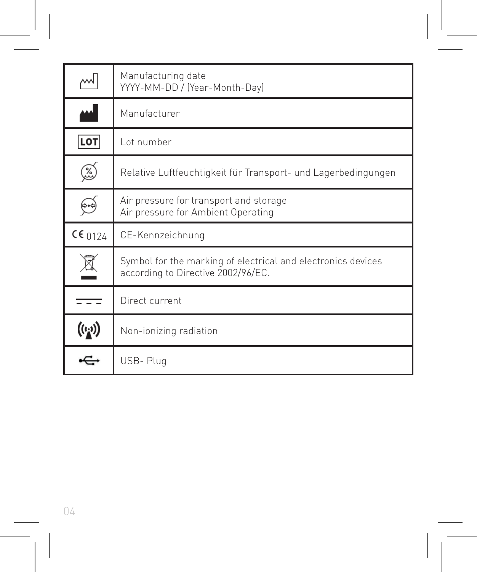| w                                                 | Manufacturing date<br>YYYY-MM-DD / (Year-Month-Day)                                                |
|---------------------------------------------------|----------------------------------------------------------------------------------------------------|
| المم                                              | Manufacturer                                                                                       |
| LOT                                               | Lot number                                                                                         |
| Ø                                                 | Relative Luftfeuchtigkeit für Transport- und Lagerbedingungen                                      |
|                                                   | Air pressure for transport and storage<br>Air pressure for Ambient Operating                       |
| $CE_{0124}$                                       | CE-Kennzeichnung                                                                                   |
|                                                   | Symbol for the marking of electrical and electronics devices<br>according to Directive 2002/96/EC. |
|                                                   | Direct current                                                                                     |
| $\left(\left(\epsilon_{\mathbf{k}}\right)\right)$ | Non-ionizing radiation                                                                             |
|                                                   | USB-Plug                                                                                           |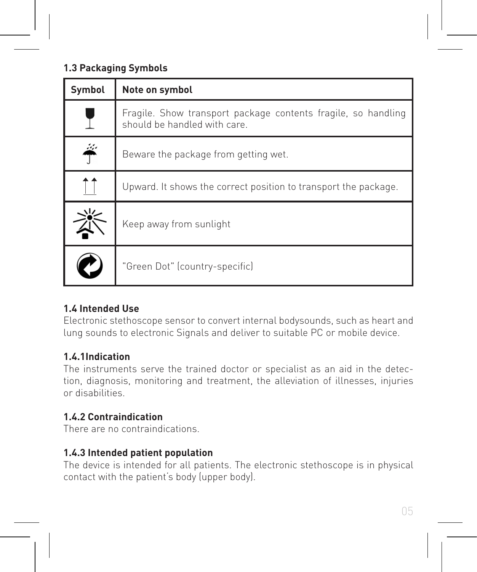#### **1.3 Packaging Symbols**

| Symbol | Note on symbol                                                                                |
|--------|-----------------------------------------------------------------------------------------------|
|        | Fragile. Show transport package contents fragile, so handling<br>should be handled with care. |
| څ      | Beware the package from getting wet.                                                          |
|        | Upward. It shows the correct position to transport the package.                               |
|        | Keep away from sunlight                                                                       |
|        | "Green Dot" (country-specific)                                                                |

#### **1.4 Intended Use**

Electronic stethoscope sensor to convert internal bodysounds, such as heart and lung sounds to electronic Signals and deliver to suitable PC or mobile device.

#### **1.4.1Indication**

The instruments serve the trained doctor or specialist as an aid in the detection, diagnosis, monitoring and treatment, the alleviation of illnesses, injuries or disabilities.

#### **1.4.2 Contraindication**

There are no contraindications.

#### **1.4.3 Intended patient population**

The device is intended for all patients. The electronic stethoscope is in physical contact with the patient's body (upper body).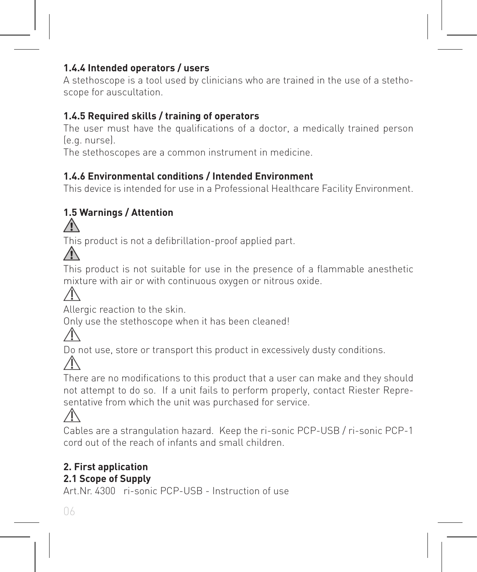#### **1.4.4 Intended operators / users**

A stethoscope is a tool used by clinicians who are trained in the use of a stethoscope for auscultation.

#### **1.4.5 Required skills / training of operators**

The user must have the qualifications of a doctor, a medically trained person. (e.g. nurse).

The stethoscopes are a common instrument in medicine.

#### **1.4.6 Environmental conditions / Intended Environment**

This device is intended for use in a Professional Healthcare Facility Environment.

### **1.5 Warnings / Attention**

This product is not a defibrillation-proof applied part.



This product is not suitable for use in the presence of a flammable anesthetic mixture with air or with continuous oxygen or nitrous oxide.

Allergic reaction to the skin.

Only use the stethoscope when it has been cleaned!

Do not use, store or transport this product in excessively dusty conditions.

There are no modifications to this product that a user can make and they should not attempt to do so. If a unit fails to perform properly, contact Riester Representative from which the unit was purchased for service.



Cables are a strangulation hazard. Keep the ri-sonic PCP-USB / ri-sonic PCP-1 cord out of the reach of infants and small children.

### **2. First application**

#### **2.1 Scope of Supply**

Art.Nr. 4300 ri-sonic PCP-USB - Instruction of use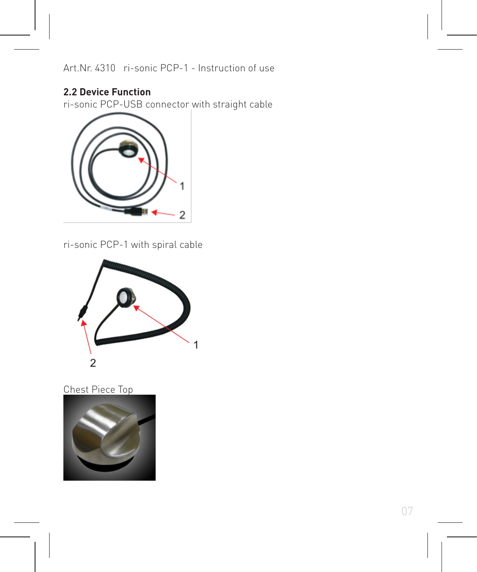Art.Nr. 4310 ri-sonic PCP-1 - Instruction of use

#### **2.2 Device Function**

ri-sonic PCP-USB connector with straight cable



ri-sonic PCP-1 with spiral cable



#### Chest Piece Top

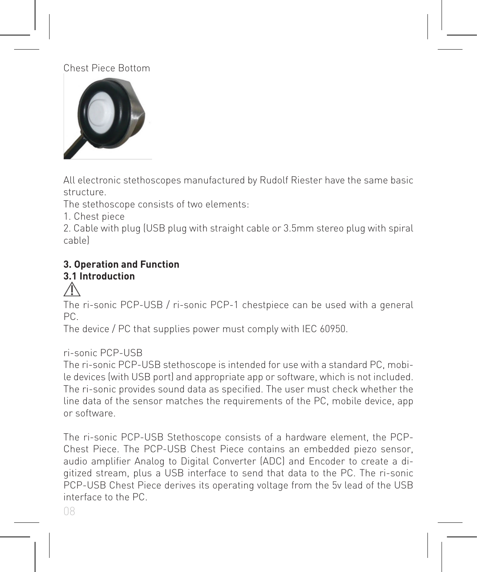#### Chest Piece Bottom



All electronic stethoscopes manufactured by Rudolf Riester have the same basic structure.

The stethoscope consists of two elements:

1. Chest piece

2. Cable with plug (USB plug with straight cable or 3.5mm stereo plug with spiral cable)

### **3. Operation and Function**

## **3.1 Introduction**

## ⚠

The ri-sonic PCP-USB / ri-sonic PCP-1 chestpiece can be used with a general PC.

The device / PC that supplies power must comply with IEC 60950.

#### ri-sonic PCP-USB

The ri-sonic PCP-USB stethoscope is intended for use with a standard PC, mobile devices (with USB port) and appropriate app or software, which is not included. The ri-sonic provides sound data as specified. The user must check whether the line data of the sensor matches the requirements of the PC, mobile device, app or software.

The ri-sonic PCP-USB Stethoscope consists of a hardware element, the PCP-Chest Piece. The PCP-USB Chest Piece contains an embedded piezo sensor, audio amplifier Analog to Digital Converter (ADC) and Encoder to create a digitized stream, plus a USB interface to send that data to the PC. The ri-sonic PCP-USB Chest Piece derives its operating voltage from the 5v lead of the USB interface to the PC.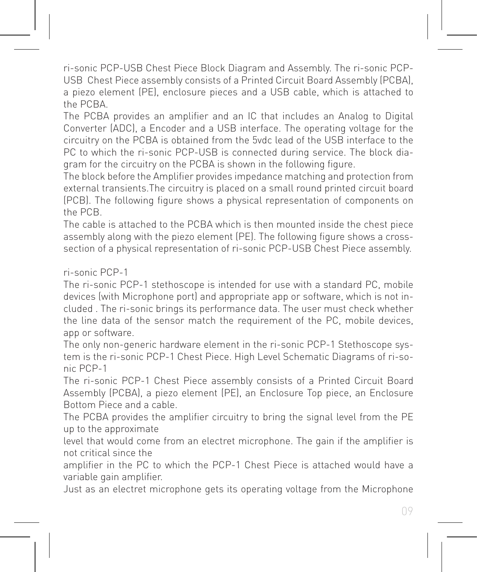ri-sonic PCP-USB Chest Piece Block Diagram and Assembly. The ri-sonic PCP-USB Chest Piece assembly consists of a Printed Circuit Board Assembly (PCBA), a piezo element (PE), enclosure pieces and a USB cable, which is attached to the PCBA.

The PCBA provides an amplifier and an IC that includes an Analog to Digital Converter (ADC), a Encoder and a USB interface. The operating voltage for the circuitry on the PCBA is obtained from the 5vdc lead of the USB interface to the PC to which the ri-sonic PCP-USB is connected during service. The block diagram for the circuitry on the PCBA is shown in the following figure.

The block before the Amplifier provides impedance matching and protection from external transients.The circuitry is placed on a small round printed circuit board (PCB). The following figure shows a physical representation of components on the PCB.

The cable is attached to the PCBA which is then mounted inside the chest piece assembly along with the piezo element (PE). The following figure shows a crosssection of a physical representation of ri-sonic PCP-USB Chest Piece assembly.

ri-sonic PCP-1

The ri-sonic PCP-1 stethoscope is intended for use with a standard PC, mobile devices (with Microphone port) and appropriate app or software, which is not included . The ri-sonic brings its performance data. The user must check whether the line data of the sensor match the requirement of the PC, mobile devices, app or software.

The only non-generic hardware element in the ri-sonic PCP-1 Stethoscope system is the ri-sonic PCP-1 Chest Piece. High Level Schematic Diagrams of ri-sonic PCP-1

The ri-sonic PCP-1 Chest Piece assembly consists of a Printed Circuit Board Assembly (PCBA), a piezo element (PE), an Enclosure Top piece, an Enclosure Bottom Piece and a cable.

The PCBA provides the amplifier circuitry to bring the signal level from the PE up to the approximate

level that would come from an electret microphone. The gain if the amplifier is not critical since the

amplifier in the PC to which the PCP-1 Chest Piece is attached would have a variable gain amplifier.

Just as an electret microphone gets its operating voltage from the Microphone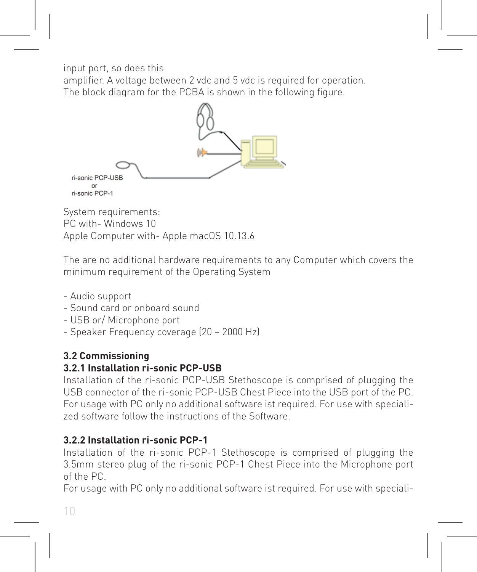input port, so does this

amplifier. A voltage between 2 vdc and 5 vdc is required for operation. The block diagram for the PCBA is shown in the following figure.



PC with- Windows 10 Apple Computer with- Apple macOS 10.13.6

The are no additional hardware requirements to any Computer which covers the minimum requirement of the Operating System

- Audio support
- Sound card or onboard sound
- USB or/ Microphone port
- Speaker Frequency coverage (20 2000 Hz)

#### **3.2 Commissioning**

#### **3.2.1 Installation ri-sonic PCP-USB**

Installation of the ri-sonic PCP-USB Stethoscope is comprised of plugging the USB connector of the ri-sonic PCP-USB Chest Piece into the USB port of the PC. For usage with PC only no additional software ist required. For use with specialized software follow the instructions of the Software.

#### **3.2.2 Installation ri-sonic PCP-1**

Installation of the ri-sonic PCP-1 Stethoscope is comprised of plugging the 3.5mm stereo plug of the ri-sonic PCP-1 Chest Piece into the Microphone port of the PC.

For usage with PC only no additional software ist required. For use with speciali-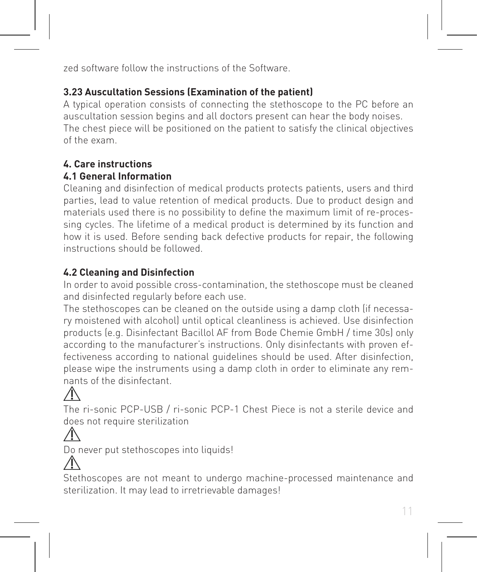zed software follow the instructions of the Software.

#### **3.23 Auscultation Sessions (Examination of the patient)**

A typical operation consists of connecting the stethoscope to the PC before an auscultation session begins and all doctors present can hear the body noises. The chest piece will be positioned on the patient to satisfy the clinical objectives of the exam.

#### **4. Care instructions**

#### **4.1 General Information**

Cleaning and disinfection of medical products protects patients, users and third parties, lead to value retention of medical products. Due to product design and materials used there is no possibility to define the maximum limit of re-processing cycles. The lifetime of a medical product is determined by its function and how it is used. Before sending back defective products for repair, the following instructions should be followed.

#### **4.2 Cleaning and Disinfection**

In order to avoid possible cross-contamination, the stethoscope must be cleaned and disinfected regularly before each use.

The stethoscopes can be cleaned on the outside using a damp cloth (if necessary moistened with alcohol) until optical cleanliness is achieved. Use disinfection products (e.g. Disinfectant Bacillol AF from Bode Chemie GmbH / time 30s) only according to the manufacturer's instructions. Only disinfectants with proven effectiveness according to national guidelines should be used. After disinfection, please wipe the instruments using a damp cloth in order to eliminate any remnants of the disinfectant.

The ri-sonic PCP-USB / ri-sonic PCP-1 Chest Piece is not a sterile device and does not require sterilization

Do never put stethoscopes into liquids!



Stethoscopes are not meant to undergo machine-processed maintenance and sterilization. It may lead to irretrievable damages!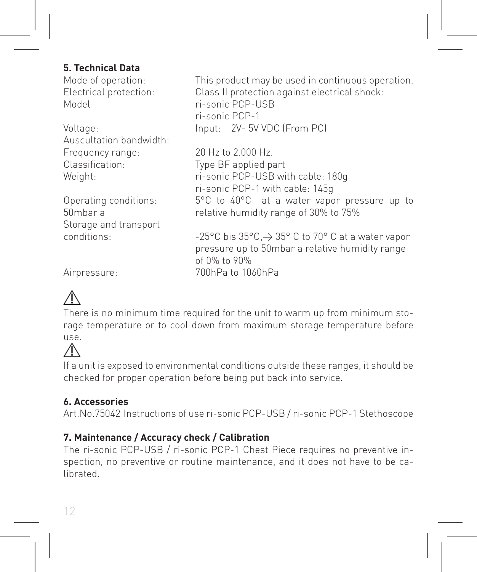#### **5. Technical Data**

| Mode of operation:      | This product may be used in continuous operation.           |
|-------------------------|-------------------------------------------------------------|
| Electrical protection:  | Class II protection against electrical shock:               |
| Model                   | ri-sonic PCP-USB                                            |
|                         | ri-sonic PCP-1                                              |
| Voltage:                | Input: 2V-5V VDC (From PC)                                  |
| Auscultation bandwidth: |                                                             |
| Frequency range:        | 20 Hz to 2,000 Hz.                                          |
| Classification:         | Type BF applied part                                        |
| Weight:                 | ri-sonic PCP-USB with cable: 180g                           |
|                         | ri-sonic PCP-1 with cable: 145g                             |
| Operating conditions:   | 5°C to 40°C at a water vapor pressure up to                 |
| 50mbar a                | relative humidity range of 30% to 75%                       |
| Storage and transport   |                                                             |
| conditions:             | -25°C bis 35°C, $\rightarrow$ 35°C to 70°C at a water vapor |
|                         | pressure up to 50mbar a relative humidity range             |
|                         | of 0% to 90%                                                |
| Airpressure:            | 700hPa to 1060hPa                                           |
|                         |                                                             |



There is no minimum time required for the unit to warm up from minimum storage temperature or to cool down from maximum storage temperature before use.



If a unit is exposed to environmental conditions outside these ranges, it should be checked for proper operation before being put back into service.

#### **6. Accessories**

Art.No.75042 Instructions of use ri-sonic PCP-USB / ri-sonic PCP-1 Stethoscope

#### **7. Maintenance / Accuracy check / Calibration**

The ri-sonic PCP-USB / ri-sonic PCP-1 Chest Piece requires no preventive inspection, no preventive or routine maintenance, and it does not have to be calibrated.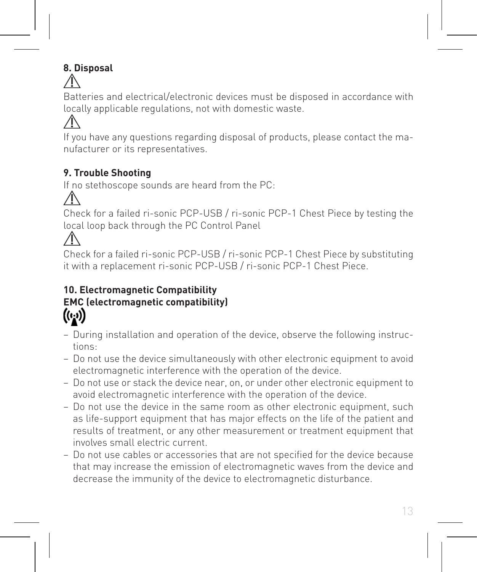### **8. Disposal**

Batteries and electrical/electronic devices must be disposed in accordance with locally applicable regulations, not with domestic waste.

If you have any questions regarding disposal of products, please contact the manufacturer or its representatives.

### **9. Trouble Shooting**

If no stethoscope sounds are heard from the PC:

Check for a failed ri-sonic PCP-USB / ri-sonic PCP-1 Chest Piece by testing the local loop back through the PC Control Panel

Check for a failed ri-sonic PCP-USB / ri-sonic PCP-1 Chest Piece by substituting it with a replacement ri-sonic PCP-USB / ri-sonic PCP-1 Chest Piece.

### **10. Electromagnetic Compatibility EMC (electromagnetic compatibility)**  $((\cdot, \cdot))$

- − During installation and operation of the device, observe the following instructions:
- − Do not use the device simultaneously with other electronic equipment to avoid electromagnetic interference with the operation of the device.
- − Do not use or stack the device near, on, or under other electronic equipment to avoid electromagnetic interference with the operation of the device.
- − Do not use the device in the same room as other electronic equipment, such as life-support equipment that has major effects on the life of the patient and results of treatment, or any other measurement or treatment equipment that involves small electric current.
- − Do not use cables or accessories that are not specified for the device because that may increase the emission of electromagnetic waves from the device and decrease the immunity of the device to electromagnetic disturbance.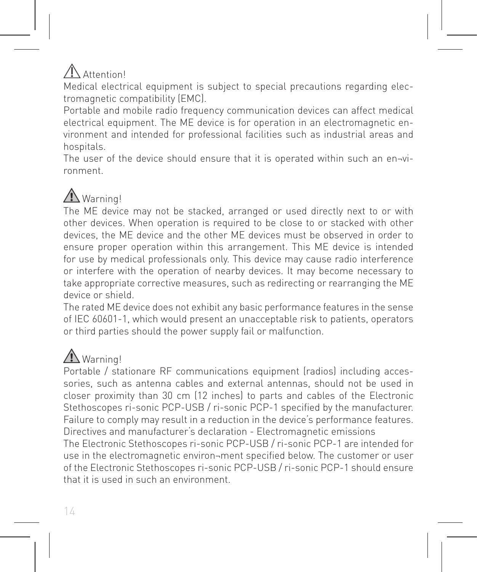# Attention

Medical electrical equipment is subject to special precautions regarding electromagnetic compatibility (EMC).

Portable and mobile radio frequency communication devices can affect medical electrical equipment. The ME device is for operation in an electromagnetic environment and intended for professional facilities such as industrial areas and hospitals.

The user of the device should ensure that it is operated within such an en-vironment.

# Warning!

The ME device may not be stacked, arranged or used directly next to or with other devices. When operation is required to be close to or stacked with other devices, the ME device and the other ME devices must be observed in order to ensure proper operation within this arrangement. This ME device is intended for use by medical professionals only. This device may cause radio interference or interfere with the operation of nearby devices. It may become necessary to take appropriate corrective measures, such as redirecting or rearranging the ME device or shield.

The rated ME device does not exhibit any basic performance features in the sense of IEC 60601-1, which would present an unacceptable risk to patients, operators or third parties should the power supply fail or malfunction.

# Warning!

Portable / stationare RF communications equipment (radios) including accessories, such as antenna cables and external antennas, should not be used in closer proximity than 30 cm (12 inches) to parts and cables of the Electronic Stethoscopes ri-sonic PCP-USB / ri-sonic PCP-1 specified by the manufacturer. Failure to comply may result in a reduction in the device's performance features. Directives and manufacturer's declaration - Electromagnetic emissions

The Electronic Stethoscopes ri-sonic PCP-USB / ri-sonic PCP-1 are intended for use in the electromagnetic environ¬ment specified below. The customer or user of the Electronic Stethoscopes ri-sonic PCP-USB / ri-sonic PCP-1 should ensure that it is used in such an environment.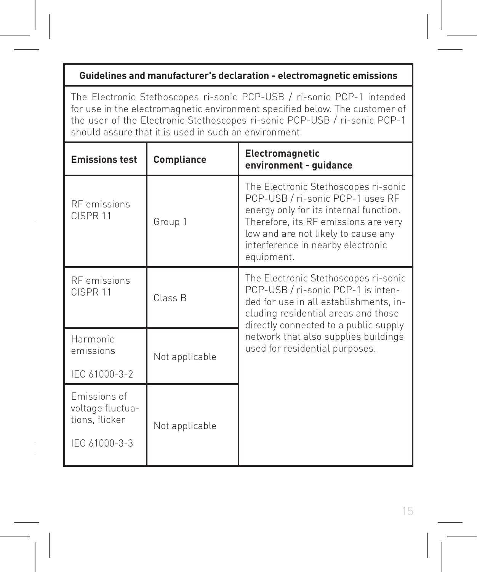#### **Guidelines and manufacturer's declaration - electromagnetic emissions**

The Electronic Stethoscopes ri-sonic PCP-USB / ri-sonic PCP-1 intended for use in the electromagnetic environment specified below. The customer of the user of the Electronic Stethoscopes ri-sonic PCP-USB / ri-sonic PCP-1 should assure that it is used in such an environment.

| <b>Emissions test</b>                                               | Compliance     | Electromagnetic<br>environment - quidance                                                                                                                                                                                                            |  |
|---------------------------------------------------------------------|----------------|------------------------------------------------------------------------------------------------------------------------------------------------------------------------------------------------------------------------------------------------------|--|
| <b>RF</b> emissions<br>CISPR <sub>11</sub>                          | Group 1        | The Electronic Stethoscopes ri-sonic<br>PCP-USB / ri-sonic PCP-1 uses RF<br>energy only for its internal function.<br>Therefore, its RF emissions are very<br>low and are not likely to cause any<br>interference in nearby electronic<br>equipment. |  |
| <b>RF</b> emissions<br>CISPR <sub>11</sub>                          | Class R        | The Electronic Stethoscopes ri-sonic<br>PCP-USB / ri-sonic PCP-1 is inten-<br>ded for use in all establishments, in-<br>cluding residential areas and those<br>directly connected to a public supply                                                 |  |
| Harmonic<br>emissions<br>Not applicable<br>IEC 61000-3-2            |                | network that also supplies buildings<br>used for residential purposes.                                                                                                                                                                               |  |
| Emissions of<br>voltage fluctua-<br>tions, flicker<br>IEC 61000-3-3 | Not applicable |                                                                                                                                                                                                                                                      |  |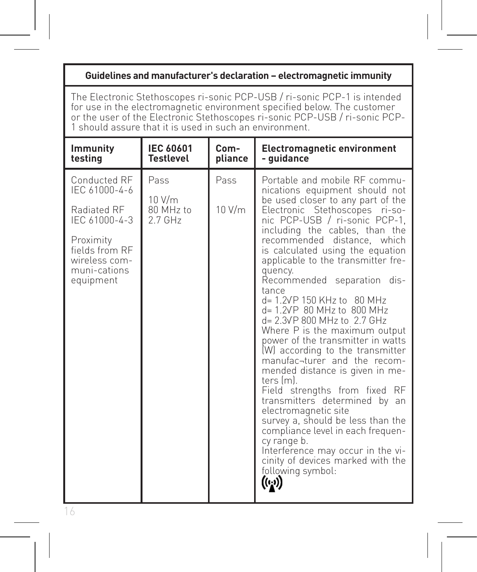#### **Guidelines and manufacturer's declaration – electromagnetic immunity**

The Electronic Stethoscopes ri-sonic PCP-USB / ri-sonic PCP-1 is intended<br>for use in the electromagnetic environment specified below. The customer<br>or the user of the Electronic Stethoscopes ri-sonic PCP-USB / ri-sonic PCP-

| <b>Immunity</b>                                                                                                                            | <b>IEC 60601</b>                         | Com-           | <b>Electromagnetic environment</b>                                                                                                                                                                                                                                                                                                                                                                                                                                                                                                                                                                                                                                                                                                                                                                                                                                                                                                                                 |
|--------------------------------------------------------------------------------------------------------------------------------------------|------------------------------------------|----------------|--------------------------------------------------------------------------------------------------------------------------------------------------------------------------------------------------------------------------------------------------------------------------------------------------------------------------------------------------------------------------------------------------------------------------------------------------------------------------------------------------------------------------------------------------------------------------------------------------------------------------------------------------------------------------------------------------------------------------------------------------------------------------------------------------------------------------------------------------------------------------------------------------------------------------------------------------------------------|
| testina                                                                                                                                    | <b>Testlevel</b>                         | pliance        | - guidance                                                                                                                                                                                                                                                                                                                                                                                                                                                                                                                                                                                                                                                                                                                                                                                                                                                                                                                                                         |
| Conducted RF<br>IFC 61000-4-6<br>Radiated RF<br>IEC 61000-4-3<br>Proximity<br>fields from RF<br>wireless com-<br>muni-cations<br>equipment | Pass<br>10 V/m<br>80 MHz to<br>$2.7$ GHz | Pass<br>10 V/m | Portable and mobile RE commu-<br>nications equipment should not<br>be used closer to any part of the<br>Electronic Stethoscopes ri-so-<br>nic PCP-USB / ri-sonic PCP-1.<br>including the cables, than the<br>recommended distance, which<br>is calculated using the equation<br>applicable to the transmitter fre-<br>quency.<br>Recommended separation dis-<br>tance<br>d= 1.2VP 150 KHz to 80 MHz<br>d= 1.2VP 80 MHz to 800 MHz<br>d= 2.3VP 800 MHz to 2.7 GHz<br>Where P is the maximum output<br>power of the transmitter in watts<br>(W) according to the transmitter<br>manufac-turer and the recom-<br>mended distance is given in me-<br>ters (ml.<br>Field strengths from fixed RF<br>transmitters determined by an<br>electromagnetic site<br>survey a, should be less than the<br>compliance level in each frequen-<br>cy range b.<br>Interference may occur in the vi-<br>cinity of devices marked with the<br>following symbol:<br>$((\cdot, \cdot))$ |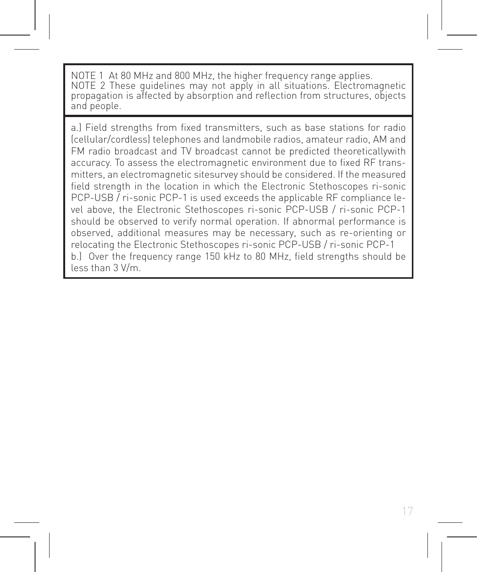NOTE 1 At 80 MHz and 800 MHz, the higher frequency range applies. NOTE 2 These guidelines may not apply in all situations. Electromagnetic propagation is affected by absorption and reflection from structures, objects and people.

a.) Field strengths from fixed transmitters, such as base stations for radio (cellular/cordless) telephones and landmobile radios, amateur radio, AM and FM radio broadcast and TV broadcast cannot be predicted theoreticallywith accuracy. To assess the electromagnetic environment due to fixed RF transmitters, an electromagnetic sitesurvey should be considered. If the measured field strength in the location in which the Electronic Stethoscopes ri-sonic PCP-USB / ri-sonic PCP-1 is used exceeds the applicable RF compliance level above, the Electronic Stethoscopes ri-sonic PCP-USB / ri-sonic PCP-1 should be observed to verify normal operation. If abnormal performance is observed, additional measures may be necessary, such as re-orienting or relocating the Electronic Stethoscopes ri-sonic PCP-USB / ri-sonic PCP-1 b.) Over the frequency range 150 kHz to 80 MHz, field strengths should be less than 3 V/m.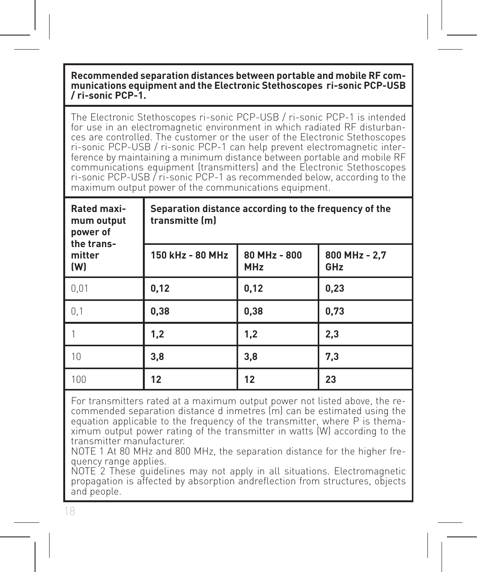#### **Recommended separation distances between portable and mobile RF communications equipment and the Electronic Stethoscopes ri-sonic PCP-USB / ri-sonic PCP-1.**

The Electronic Stethoscopes ri-sonic PCP-USB / ri-sonic PCP-1 is intended ces are controlled. The customer or the user of the Electronic Stethoscopes ri-sonic PCP-USB / ri-sonic PCP-1 can help prevent electromagnetic interference by maintaining a minimum distance between portable and mobile RF communications equipment (transmitters) and the Electronic Stethoscopes ri-sonic PCP-USB / ri-sonic PCP-1 as recommended below, according to the maximum output power of the communications equipment.

| Rated maxi-<br>mum output<br>power of<br>the trans- | Separation distance according to the frequency of the<br>transmitte (m) |                            |                      |  |
|-----------------------------------------------------|-------------------------------------------------------------------------|----------------------------|----------------------|--|
| mitter<br>(W)                                       | 150 kHz - 80 MHz                                                        | 80 MHz - 800<br><b>MHz</b> | 800 MHz - 2,7<br>GHz |  |
| 0.01                                                | 0,12                                                                    | 0,12                       | 0,23                 |  |
| 0.1                                                 | 0,38                                                                    | 0,38                       | 0.73                 |  |
|                                                     | 1,2                                                                     | 1,2                        | 2,3                  |  |
| 10                                                  | 3,8                                                                     | 3,8                        | 7,3                  |  |
| 100                                                 | 12                                                                      | 12                         | 23                   |  |

For transmitters rated at a maximum output power not listed above, the re- commended separation distance d inmetres (m) can be estimated using the equation applicable to the frequency of the transmitter, where P is thema- ximum output power rating of the transmitter in watts (W) according to the transmitter manufacturer.

NOTE 1 At 80 MHz and 800 MHz, the separation distance for the higher fre- quency range applies.

NOTE 2 These quidelines may not apply in all situations. Electromagnetic propagation is affected by absorption andreflection from structures, objects and people.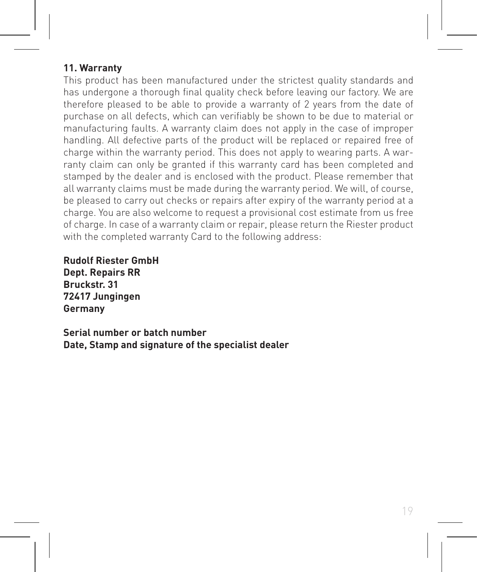#### **11. Warranty**

This product has been manufactured under the strictest quality standards and has undergone a thorough final quality check before leaving our factory. We are therefore pleased to be able to provide a warranty of 2 years from the date of purchase on all defects, which can verifiably be shown to be due to material or manufacturing faults. A warranty claim does not apply in the case of improper handling. All defective parts of the product will be replaced or repaired free of charge within the warranty period. This does not apply to wearing parts. A warranty claim can only be granted if this warranty card has been completed and stamped by the dealer and is enclosed with the product. Please remember that all warranty claims must be made during the warranty period. We will, of course, be pleased to carry out checks or repairs after expiry of the warranty period at a charge. You are also welcome to request a provisional cost estimate from us free of charge. In case of a warranty claim or repair, please return the Riester product with the completed warranty Card to the following address:

**Rudolf Riester GmbH Dept. Repairs RR Bruckstr. 31 72417 Jungingen Germany**

**Serial number or batch number Date, Stamp and signature of the specialist dealer**